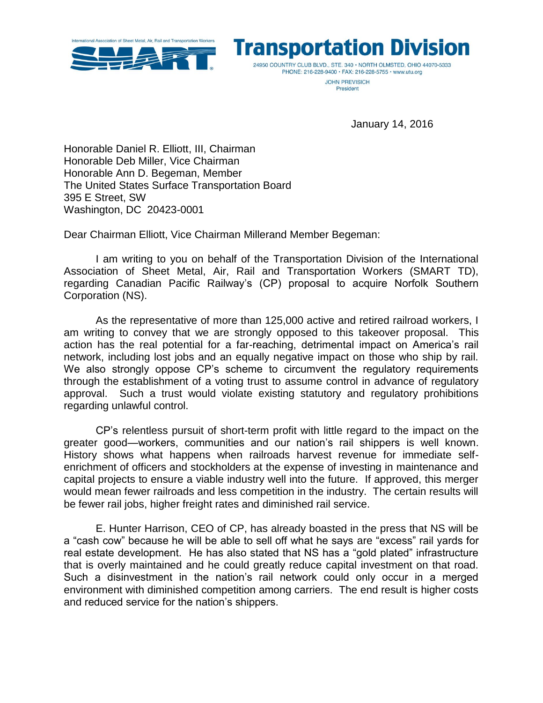



PHONE: 216-228-9400 · FAX: 216-228-5755 · www.utu.org **JOHN PREVISICH** 

President

January 14, 2016

Honorable Daniel R. Elliott, III, Chairman Honorable Deb Miller, Vice Chairman Honorable Ann D. Begeman, Member The United States Surface Transportation Board 395 E Street, SW Washington, DC 20423-0001

Dear Chairman Elliott, Vice Chairman Millerand Member Begeman:

I am writing to you on behalf of the Transportation Division of the International Association of Sheet Metal, Air, Rail and Transportation Workers (SMART TD), regarding Canadian Pacific Railway's (CP) proposal to acquire Norfolk Southern Corporation (NS).

As the representative of more than 125,000 active and retired railroad workers, I am writing to convey that we are strongly opposed to this takeover proposal. This action has the real potential for a far-reaching, detrimental impact on America's rail network, including lost jobs and an equally negative impact on those who ship by rail. We also strongly oppose CP's scheme to circumvent the regulatory requirements through the establishment of a voting trust to assume control in advance of regulatory approval. Such a trust would violate existing statutory and regulatory prohibitions regarding unlawful control.

CP's relentless pursuit of short-term profit with little regard to the impact on the greater good—workers, communities and our nation's rail shippers is well known. History shows what happens when railroads harvest revenue for immediate selfenrichment of officers and stockholders at the expense of investing in maintenance and capital projects to ensure a viable industry well into the future. If approved, this merger would mean fewer railroads and less competition in the industry. The certain results will be fewer rail jobs, higher freight rates and diminished rail service.

E. Hunter Harrison, CEO of CP, has already boasted in the press that NS will be a "cash cow" because he will be able to sell off what he says are "excess" rail yards for real estate development. He has also stated that NS has a "gold plated" infrastructure that is overly maintained and he could greatly reduce capital investment on that road. Such a disinvestment in the nation's rail network could only occur in a merged environment with diminished competition among carriers. The end result is higher costs and reduced service for the nation's shippers.